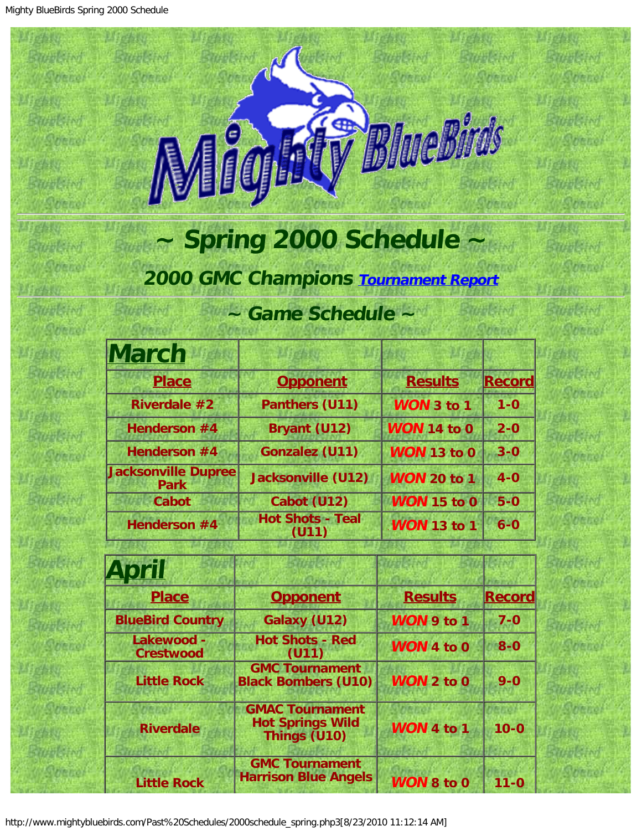Prefile

 $M_{\rm e}$ 

**Michill** 

<span id="page-0-0"></span>**Profit** 

**Discharge** 

 $M_{\rm e}$ 

 $M_{\rm e}$ 

**Mehit** 

**Michael** 

**Profit** 

P Yellow

**Michael** 

**BYANK INT** 

**Rittell** 

**BY HISTM** 

**Break Ind** 

**Bublin** 

**Bittelford** 

Bittelland

**Bittels** inf

**Bittels** inf

**Battleton** 

**Bittellited** 

**Bittell** and

Secret

Steven

Stenel

Stevel

Stene

Sherol

State

Stene

Stenet

**P. P. of A.** 

**Bunkinf** 

Stenel

Stevel



Profile

2504.00

**Prefate** 

已经产品

**Graham** 

**John** 

**Robert** 

i dhey

i dhey

 $f_1 f_2 f_3$ 

 $f - f + \nu$ 

**Radictor** 

**Siddle Ind** 

**Siddle Ind** 

**Bundary** 

**Barbleton** 

**Siddle Ind** 

**Siddle Live** 

Stenel

Stenet

Stane

Stevel

**Sheriot** 

Shenot

Stenel

**Bitter** 

Bittelland

**Bittelston** 

**Birth Link** 

**BYANSIM** 

**Bublin** 

Stenel

**Stenet** 

Sheno

**Stenet** 

Stenel

## **~ Spring 2000 Schedule ~**

## **2000 GMC Champions [Tournament Report](http://www.mightybluebirds.com/Tournaments/2000gmc.html)**

## **~ Game Schedule ~**

| <b>March</b>                              |                                  |                    |               |
|-------------------------------------------|----------------------------------|--------------------|---------------|
| <b>Place</b>                              | <b>Opponent</b>                  | <b>Results</b>     | <b>Record</b> |
| <b>Riverdale #2</b>                       | Panthers (U11)                   | <b>WON 3 to 1</b>  | $1 - 0$       |
| Henderson #4                              | Bryant (U12)                     | <b>WON 14 to 0</b> | $2 - 0$       |
| Henderson #4                              | <b>Gonzalez (U11)</b>            | <b>WON 13 to 0</b> | $3 - 0$       |
| <b>Jacksonville Dupree</b><br><b>Park</b> | <b>Jacksonville (U12)</b>        | <b>WON 20 to 1</b> | $4-0$         |
| <b>Cabot</b>                              | Cabot (U12)                      | <b>WON 15 to 0</b> | $5-0$         |
| Henderson #4                              | <b>Hot Shots - Teal</b><br>(U11) | <b>WON 13 to 1</b> | $6-0$         |

| April                          |                                                                   |                   |               |
|--------------------------------|-------------------------------------------------------------------|-------------------|---------------|
| <b>Place</b>                   | <b>Opponent</b>                                                   | <b>Results</b>    | <b>Record</b> |
| <b>BlueBird Country</b>        | Galaxy (U12)                                                      | WON 9 to 1        | $7 - 0$       |
| Lakewood -<br><b>Crestwood</b> | <b>Hot Shots - Red</b><br>(U11)                                   | <b>WON 4 to 0</b> | $8 - 0$       |
| <b>Little Rock</b>             | <b>GMC Tournament</b><br><b>Black Bombers (U10)</b>               | <b>WON 2 to 0</b> | $9 - 0$       |
| <b>Riverdale</b>               | <b>GMAC Tournament</b><br><b>Hot Springs Wild</b><br>Things (U10) | WON 4 to 1        | $10 - 0$      |
| <b>Little Rock</b>             | <b>GMC Tournament</b><br><b>Harrison Blue Angels</b>              | <b>WON 8 to 0</b> | $11 - 0$      |

http://www.mightybluebirds.com/Past%20Schedules/2000schedule\_spring.php3[8/23/2010 11:12:14 AM]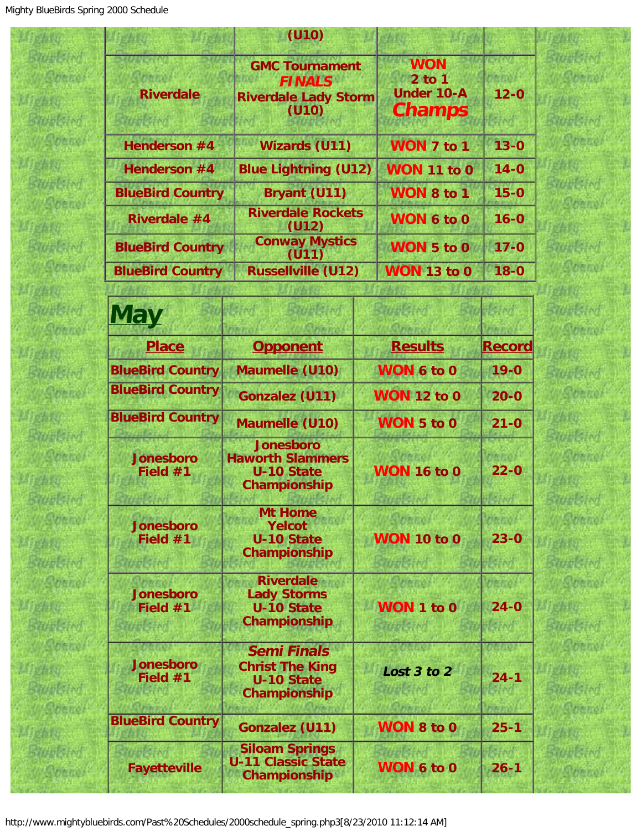四國

Ød

|                                       | (U10)                                                                                    |                                                      |                    |                          |
|---------------------------------------|------------------------------------------------------------------------------------------|------------------------------------------------------|--------------------|--------------------------|
| <b>Riverdale</b>                      | <b>FINALS</b><br>(U10)                                                                   | <b>GMC Tournament</b><br><b>Riverdale Lady Storm</b> |                    | $12 - 0$                 |
| Henderson #4                          | <b>Wizards (U11)</b>                                                                     |                                                      | WON 7 to 1         | $13 - 0$                 |
| Henderson #4                          |                                                                                          | <b>Blue Lightning (U12)</b><br><b>WON 11 to 0</b>    |                    | $14 - 0$                 |
| <b>BlueBird Country</b>               | Bryant (U11)                                                                             |                                                      | <b>WON 8 to 1</b>  | $15 - 0$                 |
| Riverdale #4                          | <b>Riverdale Rockets</b><br>(U12)                                                        | WON 6 to 0                                           |                    | $16 - 0$                 |
| <b>BlueBird Country</b>               | <b>Conway Mystics</b><br>(U11)                                                           |                                                      | WON 5 to 0         | $17 - 0$                 |
| <b>BlueBird Country</b>               | <b>Russellville (U12)</b>                                                                |                                                      | <b>WON 13 to 0</b> | $18 - 0$                 |
|                                       |                                                                                          |                                                      |                    |                          |
| <b>May</b>                            |                                                                                          |                                                      | 学生学生的              | <b>Letter!</b>           |
| <b>Place</b>                          | <b>Opponent</b>                                                                          |                                                      | <b>Results</b>     | <b>Record</b>            |
| <b>BlueBird Country</b>               | <b>Maumelle (U10)</b>                                                                    | WON 6 to 0                                           |                    | $19 - 0$                 |
| <b>BlueBird Country</b>               | <b>Gonzalez (U11)</b>                                                                    | <b>WON 12 to 0</b>                                   |                    | $20 - 0$                 |
| <b>BlueBird Country</b>               | Maumelle (U10)                                                                           | WON 5 to 0                                           |                    | $21 - 0$                 |
| <b>Jonesboro</b><br>Field $#1$        | <b>Jonesboro</b><br><b>Haworth Slammers</b><br><b>U-10 State</b><br>Championship         | <b>WON 16 to 0</b>                                   |                    | $22 - 0$                 |
| <b>Jonesboro</b><br>Field $#1$        | <b>Mt Home</b><br><b>Yelcot</b><br><b>U-10 State</b><br>Championship                     | <b>WON 10 to 0</b>                                   |                    | <b>MEDO</b><br>$23 - 0$  |
| <b>Jonesboro</b><br>Field $#1$<br>研究所 | <b>Riverdale</b><br><b>Lady Storms</b><br><b>U-10 State</b><br>Championship              | Film mys<br>WON 1 to 0<br><b>各方分析 医子宫</b>            |                    | nene<br>$24 - 0$<br>ポートガ |
| <b>Jonesboro</b><br>Field #1          | <b>Semi Finals</b><br><b>Christ The King</b><br><b>U-10 State</b><br><b>Championship</b> | Lost 3 to 2                                          |                    | $24 - 1$                 |
| <b>BlueBird Country</b>               | <b>Gonzalez (U11)</b>                                                                    |                                                      | WON 8 to 0         | $25 - 1$                 |
| <b>Fayetteville</b>                   | <b>Siloam Springs</b><br><b>U-11 Classic State</b><br>Championship                       |                                                      | WON 6 to 0         | $26 - 1$                 |

**Kird DECO** 

t M **DECO** 

**Lind** banel

t i of venel

长树 **DELLE** 

**Kird** bene

长树 venel

t M **Denot** 

**Livi Venel** 

**Lind Denet** 

k.M venel

t M bene/